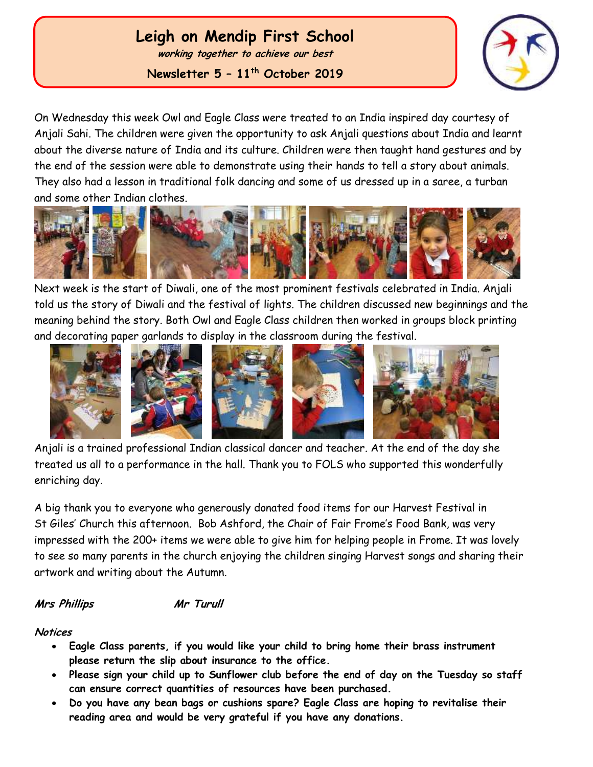# **Leigh on Mendip First School**

**working together to achieve our best**

**Newsletter 5 – 11th October 2019**



On Wednesday this week Owl and Eagle Class were treated to an India inspired day courtesy of Anjali Sahi. The children were given the opportunity to ask Anjali questions about India and learnt about the diverse nature of India and its culture. Children were then taught hand gestures and by the end of the session were able to demonstrate using their hands to tell a story about animals. They also had a lesson in traditional folk dancing and some of us dressed up in a saree, a turban and some other Indian clothes.



Next week is the start of Diwali, one of the most prominent festivals celebrated in India. Anjali told us the story of Diwali and the festival of lights. The children discussed new beginnings and the meaning behind the story. Both Owl and Eagle Class children then worked in groups block printing and decorating paper garlands to display in the classroom during the festival.



Anjali is a trained professional Indian classical dancer and teacher. At the end of the day she treated us all to a performance in the hall. Thank you to FOLS who supported this wonderfully enriching day.

A big thank you to everyone who generously donated food items for our Harvest Festival in St Giles' Church this afternoon. Bob Ashford, the Chair of Fair Frome's Food Bank, was very impressed with the 200+ items we were able to give him for helping people in Frome. It was lovely to see so many parents in the church enjoying the children singing Harvest songs and sharing their artwork and writing about the Autumn.

**Mrs Phillips Mr Turull**

### **Notices**

 Ĭ

- **Eagle Class parents, if you would like your child to bring home their brass instrument please return the slip about insurance to the office.**
- **Please sign your child up to Sunflower club before the end of day on the Tuesday so staff can ensure correct quantities of resources have been purchased.**
- **Do you have any bean bags or cushions spare? Eagle Class are hoping to revitalise their reading area and would be very grateful if you have any donations.**